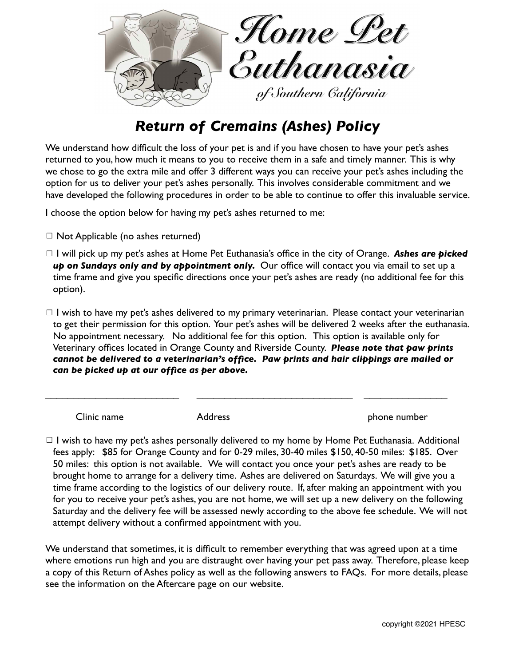

# *Return of Cremains (Ashes) Policy*

We understand how difficult the loss of your pet is and if you have chosen to have your pet's ashes returned to you, how much it means to you to receive them in a safe and timely manner. This is why we chose to go the extra mile and offer 3 different ways you can receive your pet's ashes including the option for us to deliver your pet's ashes personally. This involves considerable commitment and we have developed the following procedures in order to be able to continue to offer this invaluable service.

I choose the option below for having my pet's ashes returned to me:

- $\Box$  Not Applicable (no ashes returned)
- ☐ I will pick up my pet's ashes at Home Pet Euthanasia's office in the city of Orange. *Ashes are picked up on Sundays only and by appointment only.* Our office will contact you via email to set up a time frame and give you specific directions once your pet's ashes are ready (no additional fee for this option).
- $\Box$  I wish to have my pet's ashes delivered to my primary veterinarian. Please contact your veterinarian to get their permission for this option. Your pet's ashes will be delivered 2 weeks after the euthanasia. No appointment necessary. No additional fee for this option. This option is available only for Veterinary offices located in Orange County and Riverside County. *Please note that paw prints cannot be delivered to a veterinarian's office. Paw prints and hair clippings are mailed or can be picked up at our office as per above.*

\_\_\_\_\_\_\_\_\_\_\_\_\_\_\_\_\_\_\_\_\_\_\_\_ \_\_\_\_\_\_\_\_\_\_\_\_\_\_\_\_\_\_\_\_\_\_\_\_\_\_\_\_ \_\_\_\_\_\_\_\_\_\_\_\_\_\_\_

Clinic name **Address Phone number** *Clinic name n* 

 $\Box$  I wish to have my pet's ashes personally delivered to my home by Home Pet Euthanasia. Additional fees apply: \$85 for Orange County and for 0-29 miles, 30-40 miles \$150, 40-50 miles: \$185. Over 50 miles: this option is not available. We will contact you once your pet's ashes are ready to be brought home to arrange for a delivery time. Ashes are delivered on Saturdays. We will give you a time frame according to the logistics of our delivery route. If, after making an appointment with you for you to receive your pet's ashes, you are not home, we will set up a new delivery on the following Saturday and the delivery fee will be assessed newly according to the above fee schedule. We will not attempt delivery without a confirmed appointment with you.

We understand that sometimes, it is difficult to remember everything that was agreed upon at a time where emotions run high and you are distraught over having your pet pass away. Therefore, please keep a copy of this Return of Ashes policy as well as the following answers to FAQs. For more details, please see the information on the Aftercare page on our website.